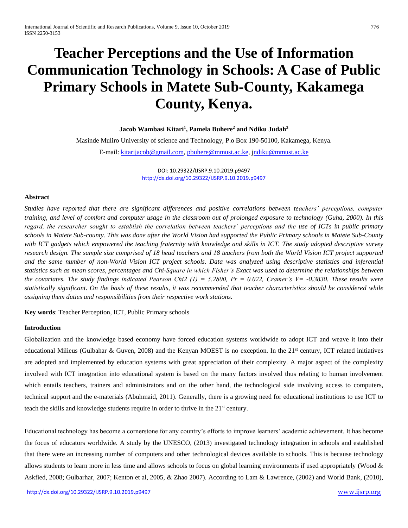# **Teacher Perceptions and the Use of Information Communication Technology in Schools: A Case of Public Primary Schools in Matete Sub-County, Kakamega County, Kenya.**

**Jacob Wambasi Kitari<sup>1</sup> , Pamela Buhere<sup>2</sup> and Ndiku Judah<sup>3</sup>** Masinde Muliro University of science and Technology, P.o Box 190-50100, Kakamega, Kenya. E-mail: [kitarijacob@gmail.com,](mailto:kitarijacob@gmail.com) [pbuhere@mmust.ac.ke,](mailto:pbuhere@mmust.ac.ke) [jndiku@mmust.ac.ke](mailto:ndiku@mmust.ac.ke)

> DOI: 10.29322/IJSRP.9.10.2019.p9497 <http://dx.doi.org/10.29322/IJSRP.9.10.2019.p9497>

# **Abstract**

*Studies have reported that there are significant differences and positive correlations between teachers' perceptions, computer training, and level of comfort and computer usage in the classroom out of prolonged exposure to technology (Guha, 2000). In this regard, the researcher sought to establish the correlation between teachers' perceptions and the use of ICTs in public primary schools in Matete Sub-county. This was done after the World Vision had supported the Public Primary schools in Matete Sub-County with ICT gadgets which empowered the teaching fraternity with knowledge and skills in ICT. The study adopted descriptive survey research design. The sample size comprised of 18 head teachers and 18 teachers from both the World Vision ICT project supported and the same number of non-World Vision ICT project schools. Data was analyzed using descriptive statistics and inferential statistics such as mean scores, percentages and Chi-Square in which Fisher's Exact was used to determine the relationships between the covariates. The study findings indicated Pearson Chi2 (1) = 5.2800, Pr = 0.022, Cramer's V= -0.3830. These results were statistically significant. On the basis of these results, it was recommended that teacher characteristics should be considered while assigning them duties and responsibilities from their respective work stations.* 

**Key words**: Teacher Perception, ICT, Public Primary schools

## **Introduction**

Globalization and the knowledge based economy have forced education systems worldwide to adopt ICT and weave it into their educational Milieus (Gulbahar & Guven, 2008) and the Kenyan MOEST is no exception. In the  $21<sup>st</sup>$  century, ICT related initiatives are adopted and implemented by education systems with great appreciation of their complexity. A major aspect of the complexity involved with ICT integration into educational system is based on the many factors involved thus relating to human involvement which entails teachers, trainers and administrators and on the other hand, the technological side involving access to computers, technical support and the e-materials (Abuhmaid, 2011). Generally, there is a growing need for educational institutions to use ICT to teach the skills and knowledge students require in order to thrive in the  $21<sup>st</sup>$  century.

Educational technology has become a cornerstone for any country's efforts to improve learners' academic achievement. It has become the focus of educators worldwide. A study by the UNESCO, (2013) investigated technology integration in schools and established that there were an increasing number of computers and other technological devices available to schools. This is because technology allows students to learn more in less time and allows schools to focus on global learning environments if used appropriately (Wood  $\&$ Askfied, 2008; Gulbarhar, 2007; Kenton et al, 2005, & Zhao 2007). According to Lam & Lawrence, (2002) and World Bank, (2010),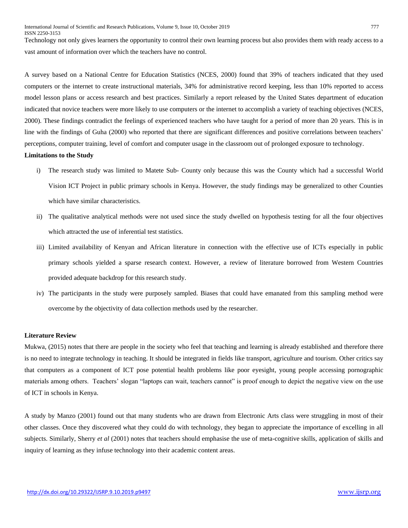Technology not only gives learners the opportunity to control their own learning process but also provides them with ready access to a vast amount of information over which the teachers have no control.

A survey based on a National Centre for Education Statistics (NCES, 2000) found that 39% of teachers indicated that they used computers or the internet to create instructional materials, 34% for administrative record keeping, less than 10% reported to access model lesson plans or access research and best practices. Similarly a report released by the United States department of education indicated that novice teachers were more likely to use computers or the internet to accomplish a variety of teaching objectives (NCES, 2000). These findings contradict the feelings of experienced teachers who have taught for a period of more than 20 years. This is in line with the findings of Guha (2000) who reported that there are significant differences and positive correlations between teachers' perceptions, computer training, level of comfort and computer usage in the classroom out of prolonged exposure to technology. **Limitations to the Study**

- i) The research study was limited to Matete Sub- County only because this was the County which had a successful World Vision ICT Project in public primary schools in Kenya. However, the study findings may be generalized to other Counties which have similar characteristics.
- ii) The qualitative analytical methods were not used since the study dwelled on hypothesis testing for all the four objectives which attracted the use of inferential test statistics.
- iii) Limited availability of Kenyan and African literature in connection with the effective use of ICTs especially in public primary schools yielded a sparse research context. However, a review of literature borrowed from Western Countries provided adequate backdrop for this research study.
- iv) The participants in the study were purposely sampled. Biases that could have emanated from this sampling method were overcome by the objectivity of data collection methods used by the researcher.

## **Literature Review**

Mukwa, (2015) notes that there are people in the society who feel that teaching and learning is already established and therefore there is no need to integrate technology in teaching. It should be integrated in fields like transport, agriculture and tourism. Other critics say that computers as a component of ICT pose potential health problems like poor eyesight, young people accessing pornographic materials among others. Teachers' slogan "laptops can wait, teachers cannot" is proof enough to depict the negative view on the use of ICT in schools in Kenya.

A study by Manzo (2001) found out that many students who are drawn from Electronic Arts class were struggling in most of their other classes. Once they discovered what they could do with technology, they began to appreciate the importance of excelling in all subjects. Similarly, Sherry *et al* (2001) notes that teachers should emphasise the use of meta-cognitive skills, application of skills and inquiry of learning as they infuse technology into their academic content areas.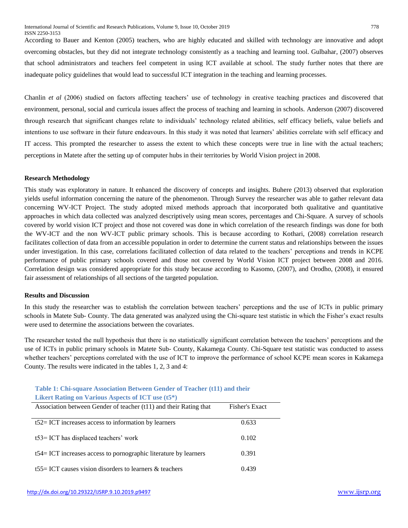According to Bauer and Kenton (2005) teachers, who are highly educated and skilled with technology are innovative and adopt overcoming obstacles, but they did not integrate technology consistently as a teaching and learning tool. Gulbahar, (2007) observes that school administrators and teachers feel competent in using ICT available at school. The study further notes that there are inadequate policy guidelines that would lead to successful ICT integration in the teaching and learning processes.

Chanlin *et al* (2006) studied on factors affecting teachers' use of technology in creative teaching practices and discovered that environment, personal, social and curricula issues affect the process of teaching and learning in schools. Anderson (2007) discovered through research that significant changes relate to individuals' technology related abilities, self efficacy beliefs, value beliefs and intentions to use software in their future endeavours. In this study it was noted that learners' abilities correlate with self efficacy and IT access. This prompted the researcher to assess the extent to which these concepts were true in line with the actual teachers; perceptions in Matete after the setting up of computer hubs in their territories by World Vision project in 2008.

#### **Research Methodology**

This study was exploratory in nature. It enhanced the discovery of concepts and insights. Buhere (2013) observed that exploration yields useful information concerning the nature of the phenomenon. Through Survey the researcher was able to gather relevant data concerning WV-ICT Project. The study adopted mixed methods approach that incorporated both qualitative and quantitative approaches in which data collected was analyzed descriptively using mean scores, percentages and Chi-Square. A survey of schools covered by world vision ICT project and those not covered was done in which correlation of the research findings was done for both the WV-ICT and the non WV-ICT public primary schools. This is because according to Kothari, (2008) correlation research facilitates collection of data from an accessible population in order to determine the current status and relationships between the issues under investigation. In this case, correlations facilitated collection of data related to the teachers' perceptions and trends in KCPE performance of public primary schools covered and those not covered by World Vision ICT project between 2008 and 2016. Correlation design was considered appropriate for this study because according to Kasomo, (2007), and Orodho, (2008), it ensured fair assessment of relationships of all sections of the targeted population.

#### **Results and Discussion**

In this study the researcher was to establish the correlation between teachers' perceptions and the use of ICTs in public primary schools in Matete Sub- County. The data generated was analyzed using the Chi-square test statistic in which the Fisher's exact results were used to determine the associations between the covariates.

The researcher tested the null hypothesis that there is no statistically significant correlation between the teachers' perceptions and the use of ICTs in public primary schools in Matete Sub- County, Kakamega County. Chi-Square test statistic was conducted to assess whether teachers' perceptions correlated with the use of ICT to improve the performance of school KCPE mean scores in Kakamega County. The results were indicated in the tables 1, 2, 3 and 4:

| Table 1: Chi-square Association Between Gender of Teacher (t11) and their |                |  |
|---------------------------------------------------------------------------|----------------|--|
| <b>Likert Rating on Various Aspects of ICT use (t5*)</b>                  |                |  |
| Association between Gender of teacher (t11) and their Rating that         | Fisher's Exact |  |
|                                                                           |                |  |
| $t52 = ICT$ increases access to information by learners                   | 0.633          |  |
| $t53 = ICT$ has displaced teachers' work                                  | 0.102          |  |
|                                                                           |                |  |
| t54= ICT increases access to pornographic literature by learners          | 0.391          |  |
| $t55 =$ ICT causes vision disorders to learners & teachers                | 0.439          |  |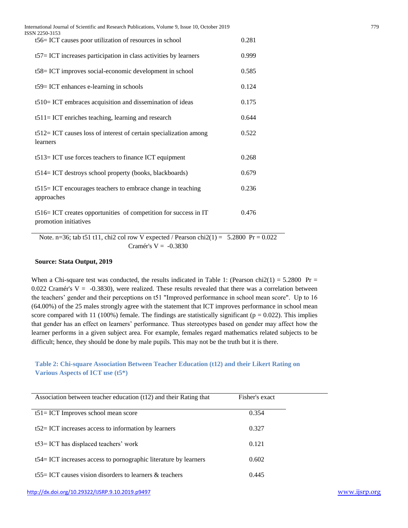| International Journal of Scientific and Research Publications, Volume 9, Issue 10, October 2019<br>ISSN 2250-3153 |       | 779 |
|-------------------------------------------------------------------------------------------------------------------|-------|-----|
| t56= ICT causes poor utilization of resources in school                                                           | 0.281 |     |
| $t57 = ICT$ increases participation in class activities by learners                                               | 0.999 |     |
| t58 = ICT improves social-economic development in school                                                          | 0.585 |     |
| t59= ICT enhances e-learning in schools                                                                           | 0.124 |     |
| $t510=$ ICT embraces acquisition and dissemination of ideas                                                       | 0.175 |     |
| $t511 = ICT$ enriches teaching, learning and research                                                             | 0.644 |     |
| $t512 = ICT$ causes loss of interest of certain specialization among<br>learners                                  | 0.522 |     |
| $t513 = ICT$ use forces teachers to finance ICT equipment                                                         | 0.268 |     |
| t514= ICT destroys school property (books, blackboards)                                                           | 0.679 |     |
| t515 = ICT encourages teachers to embrace change in teaching<br>approaches                                        | 0.236 |     |
| t516= ICT creates opportunities of competition for success in IT<br>promotion initiatives                         | 0.476 |     |

Note. n=36; tab t51 t11, chi2 col row V expected / Pearson chi2(1) =  $5.2800 \text{ Pr} = 0.022$ Cramér's  $V = -0.3830$ 

#### **Source: Stata Output, 2019**

When a Chi-square test was conducted, the results indicated in Table 1: (Pearson chi2(1) = 5.2800 Pr = 0.022 Cramér's  $V = -0.3830$ , were realized. These results revealed that there was a correlation between the teachers' gender and their perceptions on t51 "Improved performance in school mean score". Up to 16 (64.00%) of the 25 males strongly agree with the statement that ICT improves performance in school mean score compared with 11 (100%) female. The findings are statistically significant ( $p = 0.022$ ). This implies that gender has an effect on learners' performance. Thus stereotypes based on gender may affect how the learner performs in a given subject area. For example, females regard mathematics related subjects to be difficult; hence, they should be done by male pupils. This may not be the truth but it is there.

# **Table 2: Chi-square Association Between Teacher Education (t12) and their Likert Rating on Various Aspects of ICT use (t5\*)**

| Association between teacher education (t12) and their Rating that   | Fisher's exact |
|---------------------------------------------------------------------|----------------|
| $t51 = ICT$ Improves school mean score                              | 0.354          |
| $t52 = ICT$ increases access to information by learners             | 0.327          |
| $t53$ ICT has displaced teachers' work                              | 0.121          |
| $t54 = ICT$ increases access to pornographic literature by learners | 0.602          |
| $t55 =$ ICT causes vision disorders to learners & teachers          | 0.445          |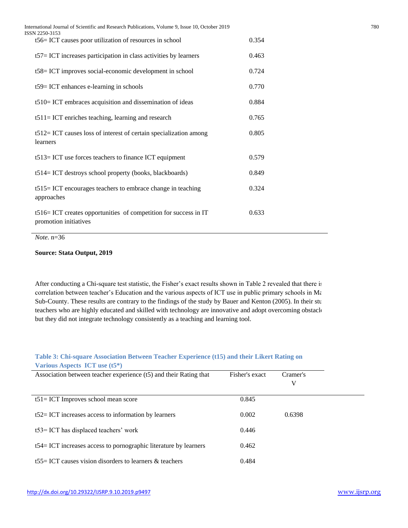| International Journal of Scientific and Research Publications, Volume 9, Issue 10, October 2019<br>ISSN 2250-3153 |       | 780 |
|-------------------------------------------------------------------------------------------------------------------|-------|-----|
| t56= ICT causes poor utilization of resources in school                                                           | 0.354 |     |
| $t57 = ICT$ increases participation in class activities by learners                                               | 0.463 |     |
| t58= ICT improves social-economic development in school                                                           | 0.724 |     |
| t59= ICT enhances e-learning in schools                                                                           | 0.770 |     |
| t510= ICT embraces acquisition and dissemination of ideas                                                         | 0.884 |     |
| $t511 = ICT$ enriches teaching, learning and research                                                             | 0.765 |     |
| $t512 = ICT$ causes loss of interest of certain specialization among<br>learners                                  | 0.805 |     |
| $t513 = ICT$ use forces teachers to finance ICT equipment                                                         | 0.579 |     |
| t514= ICT destroys school property (books, blackboards)                                                           | 0.849 |     |
| t515 = ICT encourages teachers to embrace change in teaching<br>approaches                                        | 0.324 |     |
| t516= ICT creates opportunities of competition for success in IT<br>promotion initiatives                         | 0.633 |     |
|                                                                                                                   |       |     |

*Note.* n=36

# **Source: Stata Output, 2019**

After conducting a Chi-square test statistic, the Fisher's exact results shown in Table 2 revealed that there is correlation between teacher's Education and the various aspects of ICT use in public primary schools in Ma Sub-County. These results are contrary to the findings of the study by Bauer and Kenton (2005). In their study, teachers who are highly educated and skilled with technology are innovative and adopt overcoming obstacle but they did not integrate technology consistently as a teaching and learning tool.

# **Table 3: Chi-square Association Between Teacher Experience (t15) and their Likert Rating on Various Aspects ICT use (t5\*)**

| Association between teacher experience (t5) and their Rating that   | Fisher's exact | Cramer's |
|---------------------------------------------------------------------|----------------|----------|
|                                                                     |                | V        |
| $t51 = ICT$ Improves school mean score                              | 0.845          |          |
| $t52 = ICT$ increases access to information by learners             | 0.002          | 0.6398   |
| t53= ICT has displaced teachers' work                               | 0.446          |          |
| $t54 = ICT$ increases access to pornographic literature by learners | 0.462          |          |
| t55 = ICT causes vision disorders to learners $\&$ teachers         | 0.484          |          |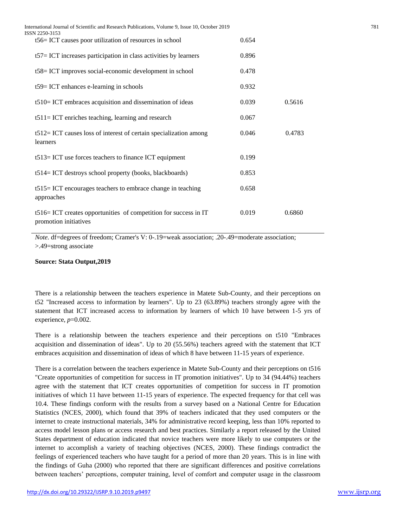| ISSN 2250-3153 | International Journal of Scientific and Research Publications, Volume 9, Issue 10, October 2019 |       |        | 781 |
|----------------|-------------------------------------------------------------------------------------------------|-------|--------|-----|
|                | t56 = ICT causes poor utilization of resources in school                                        | 0.654 |        |     |
|                | $t57 = ICT$ increases participation in class activities by learners                             | 0.896 |        |     |
|                | t58= ICT improves social-economic development in school                                         | 0.478 |        |     |
|                | $t59 = ICT$ enhances e-learning in schools                                                      | 0.932 |        |     |
|                | $t510=$ ICT embraces acquisition and dissemination of ideas                                     | 0.039 | 0.5616 |     |
|                | $t511 = ICT$ enriches teaching, learning and research                                           | 0.067 |        |     |
| learners       | $t512 = ICT$ causes loss of interest of certain specialization among                            | 0.046 | 0.4783 |     |
|                | $t513 = ICT$ use forces teachers to finance ICT equipment                                       | 0.199 |        |     |
|                | t514= ICT destroys school property (books, blackboards)                                         | 0.853 |        |     |
|                | t515 = ICT encourages teachers to embrace change in teaching<br>approaches                      | 0.658 |        |     |
|                | t516= ICT creates opportunities of competition for success in IT<br>promotion initiatives       | 0.019 | 0.6860 |     |

*Note.* df=degrees of freedom; Cramer's V: 0-.19=weak association; .20-.49=moderate association; >.49=strong associate

## **Source: Stata Output,2019**

There is a relationship between the teachers experience in Matete Sub-County, and their perceptions on t52 "Increased access to information by learners". Up to 23 (63.89%) teachers strongly agree with the statement that ICT increased access to information by learners of which 10 have between 1-5 yrs of experience, *p*=0.002.

There is a relationship between the teachers experience and their perceptions on t510 "Embraces acquisition and dissemination of ideas". Up to 20 (55.56%) teachers agreed with the statement that ICT embraces acquisition and dissemination of ideas of which 8 have between 11-15 years of experience.

There is a correlation between the teachers experience in Matete Sub-County and their perceptions on t516 "Create opportunities of competition for success in IT promotion initiatives". Up to 34 (94.44%) teachers agree with the statement that ICT creates opportunities of competition for success in IT promotion initiatives of which 11 have between 11-15 years of experience. The expected frequency for that cell was 10.4. These findings conform with the results from a survey based on a National Centre for Education Statistics (NCES, 2000), which found that 39% of teachers indicated that they used computers or the internet to create instructional materials, 34% for administrative record keeping, less than 10% reported to access model lesson plans or access research and best practices. Similarly a report released by the United States department of education indicated that novice teachers were more likely to use computers or the internet to accomplish a variety of teaching objectives (NCES, 2000). These findings contradict the feelings of experienced teachers who have taught for a period of more than 20 years. This is in line with the findings of Guha (2000) who reported that there are significant differences and positive correlations between teachers' perceptions, computer training, level of comfort and computer usage in the classroom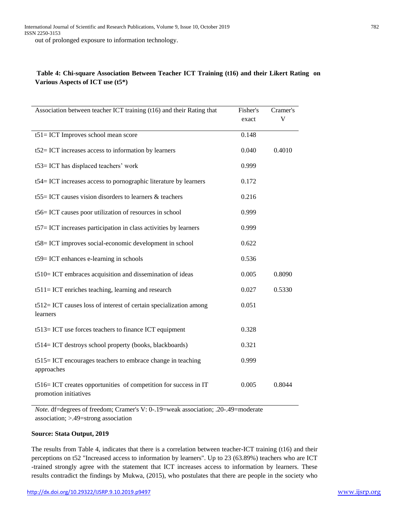# **Table 4: Chi-square Association Between Teacher ICT Training (t16) and their Likert Rating on Various Aspects of ICT use (t5\*)**

| Association between teacher ICT training (t16) and their Rating that                      | Fisher's | Cramer's |
|-------------------------------------------------------------------------------------------|----------|----------|
|                                                                                           | exact    | V        |
| $t51 = ICT$ Improves school mean score                                                    | 0.148    |          |
| $t52=$ ICT increases access to information by learners                                    | 0.040    | 0.4010   |
| t53= ICT has displaced teachers' work                                                     | 0.999    |          |
| t54= ICT increases access to pornographic literature by learners                          | 0.172    |          |
| t55 = ICT causes vision disorders to learners $\&$ teachers                               | 0.216    |          |
| t56= ICT causes poor utilization of resources in school                                   | 0.999    |          |
| t57= ICT increases participation in class activities by learners                          | 0.999    |          |
| t58= ICT improves social-economic development in school                                   | 0.622    |          |
| t59= ICT enhances e-learning in schools                                                   | 0.536    |          |
| t510= ICT embraces acquisition and dissemination of ideas                                 | 0.005    | 0.8090   |
| $t511 = ICT$ enriches teaching, learning and research                                     | 0.027    | 0.5330   |
| $t512 = ICT$ causes loss of interest of certain specialization among<br>learners          | 0.051    |          |
| t513= ICT use forces teachers to finance ICT equipment                                    | 0.328    |          |
| t514= ICT destroys school property (books, blackboards)                                   | 0.321    |          |
| t515 = ICT encourages teachers to embrace change in teaching<br>approaches                | 0.999    |          |
| t516= ICT creates opportunities of competition for success in IT<br>promotion initiatives | 0.005    | 0.8044   |

*Note.* df=degrees of freedom; Cramer's V: 0-.19=weak association; .20-.49=moderate association; >.49=strong association

## **Source: Stata Output, 2019**

The results from Table 4, indicates that there is a correlation between teacher-ICT training (t16) and their perceptions on t52 "Increased access to information by learners". Up to 23 (63.89%) teachers who are ICT -trained strongly agree with the statement that ICT increases access to information by learners. These results contradict the findings by Mukwa, (2015), who postulates that there are people in the society who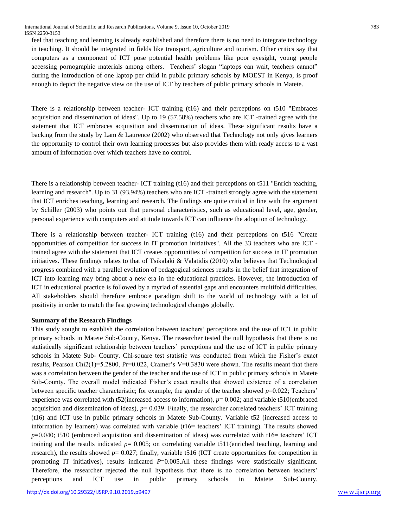feel that teaching and learning is already established and therefore there is no need to integrate technology in teaching. It should be integrated in fields like transport, agriculture and tourism. Other critics say that computers as a component of ICT pose potential health problems like poor eyesight, young people accessing pornographic materials among others. Teachers' slogan "laptops can wait, teachers cannot" during the introduction of one laptop per child in public primary schools by MOEST in Kenya, is proof enough to depict the negative view on the use of ICT by teachers of public primary schools in Matete.

There is a relationship between teacher- ICT training (t16) and their perceptions on t510 "Embraces acquisition and dissemination of ideas". Up to 19 (57.58%) teachers who are ICT -trained agree with the statement that ICT embraces acquisition and dissemination of ideas. These significant results have a backing from the study by Lam & Laurence (2002) who observed that Technology not only gives learners the opportunity to control their own learning processes but also provides them with ready access to a vast amount of information over which teachers have no control.

There is a relationship between teacher- ICT training (t16) and their perceptions on t511 "Enrich teaching, learning and research". Up to 31 (93.94%) teachers who are ICT -trained strongly agree with the statement that ICT enriches teaching, learning and research. The findings are quite critical in line with the argument by Schiller (2003) who points out that personal characteristics, such as educational level, age, gender, personal experience with computers and attitude towards ICT can influence the adoption of technology.

There is a relationship between teacher- ICT training (t16) and their perceptions on t516 "Create opportunities of competition for success in IT promotion initiatives". All the 33 teachers who are ICT trained agree with the statement that ICT creates opportunities of competition for success in IT promotion initiatives. These findings relates to that of Tsikalaki & Valatidis (2010) who believes that Technological progress combined with a parallel evolution of pedagogical sciences results in the belief that integration of ICT into learning may bring about a new era in the educational practices. However, the introduction of ICT in educational practice is followed by a myriad of essential gaps and encounters multifold difficulties. All stakeholders should therefore embrace paradigm shift to the world of technology with a lot of positivity in order to match the fast growing technological changes globally.

## **Summary of the Research Findings**

This study sought to establish the correlation between teachers' perceptions and the use of ICT in public primary schools in Matete Sub-County, Kenya. The researcher tested the null hypothesis that there is no statistically significant relationship between teachers' perceptions and the use of ICT in public primary schools in Matete Sub- County. Chi-square test statistic was conducted from which the Fisher's exact results, Pearson Chi2(1)=5.2800, Pr=0.022, Cramer's V=0.3830 were shown. The results meant that there was a correlation between the gender of the teacher and the use of ICT in public primary schools in Matete Sub-County. The overall model indicated Fisher's exact results that showed existence of a correlation between specific teacher characteristic; for example, the gender of the teacher showed *p*=0.022; Teachers' experience was correlated with t52(increased access to information), *p*= 0.002; and variable t510(embraced acquisition and dissemination of ideas), *p*= 0.039. Finally, the researcher correlated teachers' ICT training (t16) and ICT use in public primary schools in Matete Sub-County. Variable t52 (increased access to information by learners) was correlated with variable (t16= teachers' ICT training). The results showed *p*=0.040; t510 (embraced acquisition and dissemination of ideas) was correlated with t16= teachers' ICT training and the results indicated  $p= 0.005$ ; on correlating variable t511(enriched teaching, learning and research), the results showed  $p= 0.027$ ; finally, variable t516 (ICT create opportunities for competition in promoting IT initiatives), results indicated *P*=0.005.All these findings were statistically significant. Therefore, the researcher rejected the null hypothesis that there is no correlation between teachers' perceptions and ICT use in public primary schools in Matete Sub-County.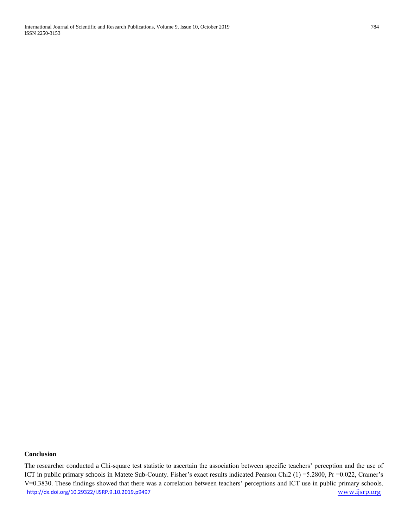International Journal of Scientific and Research Publications, Volume 9, Issue 10, October 2019 784 ISSN 2250-3153

# **Conclusion**

<http://dx.doi.org/10.29322/IJSRP.9.10.2019.p9497> [www.ijsrp.org](http://ijsrp.org/) The researcher conducted a Chi-square test statistic to ascertain the association between specific teachers' perception and the use of ICT in public primary schools in Matete Sub-County. Fisher's exact results indicated Pearson Chi2 (1) =5.2800, Pr =0.022, Cramer's V=0.3830. These findings showed that there was a correlation between teachers' perceptions and ICT use in public primary schools.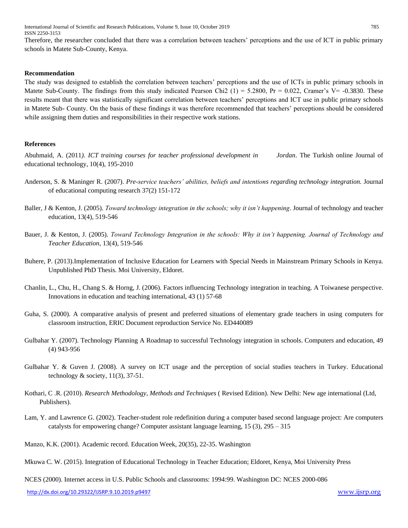International Journal of Scientific and Research Publications, Volume 9, Issue 10, October 2019 785 ISSN 2250-3153

Therefore, the researcher concluded that there was a correlation between teachers' perceptions and the use of ICT in public primary schools in Matete Sub-County, Kenya.

## **Recommendation**

The study was designed to establish the correlation between teachers' perceptions and the use of ICTs in public primary schools in Matete Sub-County. The findings from this study indicated Pearson Chi2 (1) = 5.2800, Pr =  $0.022$ , Cramer's V= -0.3830. These results meant that there was statistically significant correlation between teachers' perceptions and ICT use in public primary schools in Matete Sub- County. On the basis of these findings it was therefore recommended that teachers' perceptions should be considered while assigning them duties and responsibilities in their respective work stations.

#### **References**

Abuhmaid, A. (2011*). ICT training courses for teacher professional development in Jordan*. The Turkish online Journal of educational technology, 10(4), 195-2010

- Anderson, S. & Maninger R. (2007). *Pre-service teachers' abilities, beliefs and intentions regarding technology integration.* Journal of educational computing research 37(2) 151-172
- Baller, J & Kenton, J. (2005). *Toward technology integration in the schools; why it isn't happening*. Journal of technology and teacher education, 13(4), 519-546
- Bauer, J. & Kenton, J. (2005). *Toward Technology Integration in the schools: Why it isn't happening. Journal of Technology and Teacher Education*, 13(4), 519-546
- Buhere, P. (2013).Implementation of Inclusive Education for Learners with Special Needs in Mainstream Primary Schools in Kenya. Unpublished PhD Thesis. Moi University, Eldoret.
- Chanlin, L., Chu, H., Chang S. & Horng, J. (2006). Factors influencing Technology integration in teaching. A Toiwanese perspective. Innovations in education and teaching international, 43 (1) 57-68
- Guha, S. (2000). A comparative analysis of present and preferred situations of elementary grade teachers in using computers for classroom instruction, ERIC Document reproduction Service No. ED440089
- Gulbahar Y. (2007). Technology Planning A Roadmap to successful Technology integration in schools. Computers and education, 49 (4) 943-956
- Gulbahar Y. & Guven J. (2008). A survey on ICT usage and the perception of social studies teachers in Turkey. Educational technology & society, 11(3), 37-51.
- Kothari, C .R. (2010). *Research Methodology, Methods and Techniques* ( Revised Edition). New Delhi: New age international (Ltd, Publishers).
- Lam, Y. and Lawrence G. (2002). Teacher-student role redefinition during a computer based second language project: Are computers catalysts for empowering change? Computer assistant language learning, 15 (3), 295 – 315
- Manzo, K.K. (2001). Academic record. Education Week, 20(35), 22-35. Washington
- Mkuwa C. W. (2015). Integration of Educational Technology in Teacher Education; Eldoret, Kenya, Moi University Press

NCES (2000). Internet access in U.S. Public Schools and classrooms: 1994:99. Washington DC: NCES 2000-086

<http://dx.doi.org/10.29322/IJSRP.9.10.2019.p9497> [www.ijsrp.org](http://ijsrp.org/)